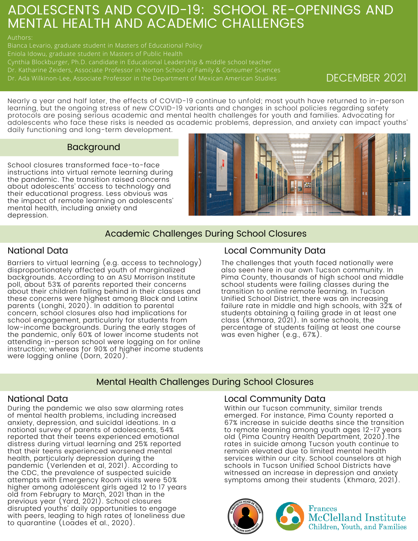# ADOLESCENTS AND COVID-19: SCHOOL RE-OPENINGS AND MENTAL HEALTH AND ACADEMIC CHALLENGES

Bianca Levario, graduate student in Masters of Educational Policy

Cynthia Blockburger, Ph.D. candidate in Educational Leadership & middle school teacher

Dr. Ada Wilkinon-Lee, Associate Professor in the Department of Mexican American Studies DECEMBER 2021

Nearly a year and half later, the effects of COVID-19 continue to unfold; most youth have returned to in-person learning, but the ongoing stress of new COVID-19 variants and changes in school policies regarding safety protocols are posing serious academic and mental health challenges for youth and families. Advocating for adolescents who face these risks is needed as academic problems, depression, and anxiety can impact youths' daily functioning and long-term development.

## Background

School closures transformed face-to-face instructions into virtual remote learning during the pandemic. The transition raised concerns about adolescents' access to technology and their educational progress. Less obvious was the impact of remote learning on adolescents' mental health, including anxiety and depression.



## Academic Challenges During School Closures

## National Data

Barriers to virtual learning (e.g. access to technology) disproportionately affected youth of marginalized backgrounds. According to an ASU Morrison Institute poll, about 53% of parents reported their concerns about their children falling behind in their classes and these concerns were highest among Black and Latinx parents (Longhi, 2020). In addition to parental concern, school closures also had implications for school engagement, particularly for students from low-income backgrounds. During the early stages of the pandemic, only 60% of lower income students not attending in-person school were logging on for online instruction; whereas for 90% of higher income students were logging online (Dorn, 2020).

## Local Community Data

The challenges that youth faced nationally were also seen here in our own Tucson community. In Pima County, thousands of high school and middle school students were failing classes during the transition to online remote learning. In Tucson Unified School District, there was an increasing failure rate in middle and high schools, with 32% of students obtaining a failing grade in at least one class (Khmara, 2021). In some schools, the percentage of students failing at least one course was even higher (e.g., 67%).

## Mental Health Challenges During School Closures

During the pandemic we also saw alarming rates of mental health problems, including increased anxiety, depression, and suicidal ideations. In a national survey of parents of adolescents, 54% reported that their teens experienced emotional distress during virtual learning and 25% reported that their teens experienced worsened mental health, particularly depression during the pandemic (Verlenden et al, 2021). According to the CDC, the prevalence of suspected suicide attempts with Emergency Room visits were 50% higher among adolescent girls aged 12 to 17 years old from February to March, 2021 than in the previous year (Yard, 2021). School closures disrupted youths' daily opportunities to engage with peers, leading to high rates of loneliness due to quarantine (Loades et al., 2020).

## National Data Local Community Data

Within our Tucson community, similar trends emerged. For instance, Pima County reported a 67% increase in suicide deaths since the transition to remote learning among youth ages 12-17 years old (Pima Country Health Department, 2020).The rates in suicide among Tucson youth continue to remain elevated due to limited mental health services within our city. School counselors at high schools in Tucson Unified School Districts have witnessed an increase in depression and anxiety symptoms among their students (Khmara, 2021).

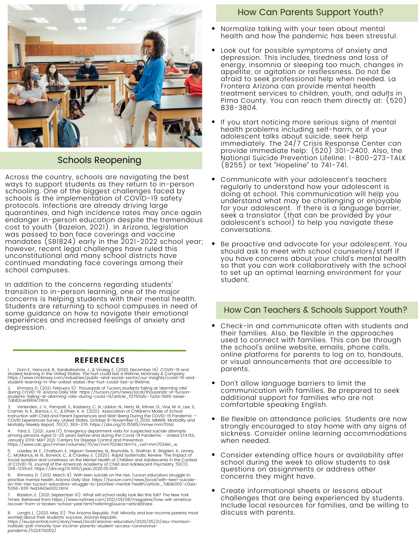

## Schools Reopening

Across the country, schools are navigating the best ways to support students as they return to in-person schooling. One of the biggest challenges faced by schools is the implementation of COVID-19 safety protocols. Infections are already driving large quarantines, and high incidence rates may once again endanger in-person education despite the tremendous cost to youth (Bazelon, 2021). In Arizona, legislation was passed to ban face coverings and vaccine mandates (SB1824) early in the 2021-2022 school year; however, recent legal challenges have ruled this unconstitutional and many school districts have continued mandating face coverings among their school campuses.

In addition to the concerns regarding students' transition to in-person learning, one of the major concerns is helping students with their mental health. Students are returning to school campuses in need of some guidance on how to navigate their emotional experiences and increased feelings of anxiety and depression.

### **REFERENCES**

1. Dorn E., Hancock, B., Sarakatsannis, J., & Viruleg, E. (2020, December 14). COVID-19 and<br>student learning in the United States: The hurt could last a lifetime. McKinsey & Company.<br>https://www.mckinsey.com/industri

2. Khmara, D. (2021, February 5). Thousands of Tucson students failing at 'alarming rate'<br>during COVID-19. Arizona Daily Star. https://tucson.com/news/local/thousands-of-tucson-<br>students-failing-at-alarming-rate-during

3. Verlenden, J. V., Pampati, S., Rasberry, C. N., Liddon, N., Hertz, M., Kilmer, G., Viox, M. H., Lee, S.,<br>Cramer, N. K., Barrios, L. C., & Ethier, K. A. (2021). Association of Children's Mode of School<br>Instruction with C

Yard, E. (2021, June 17). Emergency department visits for suspected suicide attempts among persons Aged 12–25 years before and during the Covid-19 Pandemic - United STATES,<br>January 2019–MAY 2021. Centers for Disease Control and Prevention.<br>https://www.cdc.gov/mmwr/volumes/70/wr/mm7024e1.htm?s\_cid=mm7024e1\_

5. Loades, M. E., Chatburn, E., Higson-Sweeney, N., Reynolds, S., Shafran, R., Brigden, A., Linney,<br>C., McManus, M. N., Borwick, C., & Crawley, E. (2020). Rapid Systematic Review: The Impact of<br>Social Isolation and Lonelin 1218–1239.e3. https://doi.org/10.1016/j.jaac.2020.05.009

6. Khmara, D. (2021, March 9). With teen suicide on the rise, Tucson educators struggle to prioritize mental health. Arizona Daily Star. https://tucson.com/news/local/with-teen-suicideon-the-rise-tucson-educators-struggle-to-prioritize-mental-health/article\_7db1b000-c0aa-5066-931f-fed3443e0102.html.

7. Bazelon, E. (2021, September 10). What will school really look like this fall? The New York Times. Retrieved from https://www.nytimes.com/2021/09/08/magazine/how-will-americarecover-from-a-broken-school-year.html?referringSource=articleShare.

8. Longhi, L. (2020, May 21). The Arizona Republic. Poll: Minority and low-income parents most<br>worried about their students' success. Arizona Republic.<br>https://eu.azcentral.com/story/news/local/arizona-education/2020/0 institute-poll-minority-low-income-parents-student-access-coronavirus-pandemic/5224710002/

## How Can Parents Support Youth?

- Normalize talking with your teen about mental health and how the pandemic has been stressful.
- Look out for possible symptoms of anxiety and depression. This includes, tiredness and loss of energy, insomnia or sleeping too much, changes in appetite, or agitation or restlessness. Do not be afraid to seek [professional](http://www.lafronteraaz.org/) help when needed. La Frontera Arizona can provide mental health treatment services to children, youth, and adults in Pima County. You can reach them directly at: (520) 838-3804.
- If you start noticing more serious signs of mental health problems including self-harm, or if your adolescent talks about suicide, seek help immediately. The 24/7 Crisis [Response](https://www.bannerhealth.com/locations/tucson/banner-university-medicine-crisis-response-center-district?y_source=1_MTE5MDc1NDItNDYyLWxvY2F0aW9uLndlYnNpdGU=) Center can provide immediate help: (520) 301-2400. Also, the National Suicide Prevention Lifeline: 1-800-273-TALK (8255) or text "Hopeline" to 741-741.
- Communicate with your adolescent's teachers regularly to understand how your adolescent is doing at school. This communication will help you understand what may be challenging or enjoyable for your adolescent. If there is a language barrier, seek a translator (that can be provided by your adolescent's school) to help you navigate these conversations.
- Be proactive and advocate for your adolescent. You should ask to meet with school counselors/staff if you have concerns about your child's mental health so that you can work collaboratively with the school to set up an optimal learning environment for your student.

## How Can Teachers & Schools Support Youth?

- Check-in and communicate often with students and their families. Also, be flexible in the approaches used to connect with families. This can be through the school's online website, emails, phone calls, online platforms for parents to log on to, handouts, or visual announcements that are accessible to parents.
- Don't allow language barriers to limit the communication with families. Be prepared to seek additional support for families who are not comfortable speaking English.
- Be flexible on attendance policies. Students are now strongly encouraged to stay home with any signs of sickness. Consider online learning accommodations when needed.
- Consider extending office hours or availability after school during the week to allow students to ask questions on assignments or address other concerns they might have.
- Create informational sheets or lessons about challenges that are being experienced by students. Include local resources for families, and be willing to discuss with parents.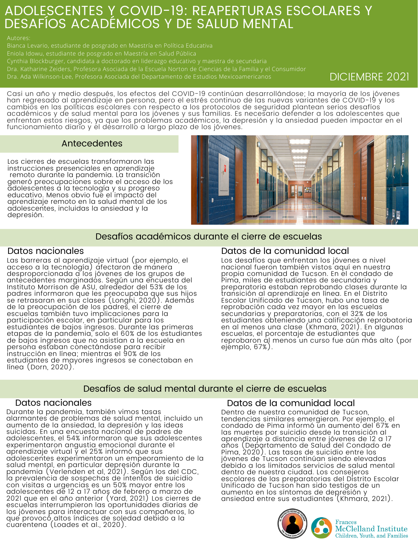# ADOLESCENTES Y COVID-19: REAPERTURAS ESCOLARES Y DESAFÍOS ACADÉMICOS Y DE SALUD MENTAL

### Autores:

Cynthia Blockburger, candidata a doctorado en liderazgo educativo y maestra de secundaria

Dra. Ada Wilkinson-Lee, Profesora Asociada del Departamento de Estudios Mexicoamericanos DICIEMBRE 2021

Casi un año y medio después, los efectos del COVID-19 continúan desarrollándose; la mayoría de los jóvenes han regresado al aprendizaje en persona, pero el estrés continuo de las nuevas variantes de COVID-19 y los cambios en las políticas escolares con respecto a los protocolos de seguridad plantean serios desafíos académicos y de salud mental para los jóvenes y sus familias. Es necesario defender a los adolescentes que enfrentan estos riesgos, ya que los problemas académicos, la depresión y la ansiedad pueden impactar en el funcionamiento diario y el desarrollo a largo plazo de los jóvenes.

## Antecedentes

Los cierres de escuelas transformaron las instrucciones presenciales en aprendizaje remoto durante la pandemia. La transición generó preocupaciones sobre el acceso de los adolescentes a la tecnología y su progreso educativo. Menos obvio fue el impacto del aprendizaje remoto en la salud mental de los adolescentes, incluidas la ansiedad y la depresión.



## Desafíos académicos durante el cierre de escuelas

## Datos nacionales

Las barreras al aprendizaje virtual (por ejemplo, el acceso a la tecnología) afectaron de manera desproporcionada a los jóvenes de los grupos de antecedentes marginados. Según una encuesta del Instituto Morrison de ASU, alrededor del 53% de los padres informaron que les preocupaba que sus hijos se retrasaran en sus clases (Longhi, 2020). Además de la preocupación de los padres, el cierre de escuelas también tuvo implicaciones para la participación escolar, en particular para los estudiantes de bajos ingresos. Durante las primeras etapas de la pandemia, solo el 60% de los estudiantes de bajos ingresos que no asistían a la escuela en persona estaban conectándose para recibir instrucción en línea; mientras el 90% de los estudiantes de mayores ingresos se conectaban en línea (Dorn, 2020).

## Datos de la comunidad local

Los desafíos que enfrentan los jóvenes a nivel nacional fueron también vistos aquí en nuestra propia comunidad de Tucson. En el condado de Pima, miles de estudiantes de secundaria y preparatoria estaban reprobando clases durante la transición al aprendizaje en línea. En el Distrito Escolar Unificado de Tucson, hubo una tasa de reprobación cada vez mayor en las escuelas secundarias y preparatorias, con el 32% de los estudiantes obteniendo una calificación reprobatoria en al menos una clase (Khmara, 2021). En algunas escuelas, el porcentaje de estudiantes que reprobaron al menos un curso fue aún más alto (por ejemplo, 67%).

## Desafíos de salud mental durante el cierre de escuelas

Durante la pandemia, también vimos tasas alarmantes de problemas de salud mental, incluido un aumento de la ansiedad, la depresión y las ideas suicidas. En una encuesta nacional de padres de adolescentes, el 54% informaron que sus adolescentes experimentaron angustia emocional durante el aprendizaje virtual y el 25% informó que sus adolescentes experimentaron un empeoramiento de la salud mental, en particular depresión durante la pandemia (Verlenden et al, 2021). Según los del CDC, la prevalencia de sospechas de intentos de suicidio con visitas a urgencias es un 50% mayor entre los adolescentes de 12 a 17 años de febrero a marzo de 2021 que en el año anterior (Yard, 2021) Los cierres de escuelas interrumpieron las oportunidades diarias de los jóvenes para interactuar con sus compañeros, lo que provocó altos índices de soledad debido a la cuarentena (Loades et al., 2020).

## Datos nacionales Datos de la comunidad local

Dentro de nuestra comunidad de Tucson, tendencias similares emergieron. Por ejemplo, el condado de Pima informó un aumento del 67% en las muertes por suicidio desde la transición al aprendizaje a distancia entre jóvenes de 12 a 17 años (Departamento de Salud del Condado de Pima, 2020). Las tasas de suicidio entre los jóvenes de Tucson continúan siendo elevadas debido a los limitados servicios de salud mental dentro de nuestra ciudad. Los consejeros escolares de las preparatorias del Distrito Escolar Unificado de Tucson han sido testigos de un aumento en los síntomas de depresión y ansiedad entre sus estudiantes (Khmará, 2021).



**Frances** McClelland Institute Children, Youth, and Families